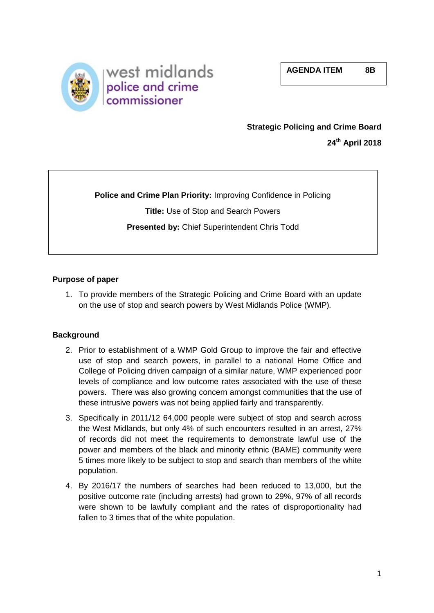**AGENDA ITEM 8B**



# **Strategic Policing and Crime Board**

**24th April 2018**

**Police and Crime Plan Priority:** Improving Confidence in Policing **Title:** Use of Stop and Search Powers **Presented by:** Chief Superintendent Chris Todd

# **Purpose of paper**

1. To provide members of the Strategic Policing and Crime Board with an update on the use of stop and search powers by West Midlands Police (WMP)*.* 

### **Background**

- 2. Prior to establishment of a WMP Gold Group to improve the fair and effective use of stop and search powers, in parallel to a national Home Office and College of Policing driven campaign of a similar nature, WMP experienced poor levels of compliance and low outcome rates associated with the use of these powers. There was also growing concern amongst communities that the use of these intrusive powers was not being applied fairly and transparently.
- 3. Specifically in 2011/12 64,000 people were subject of stop and search across the West Midlands, but only 4% of such encounters resulted in an arrest, 27% of records did not meet the requirements to demonstrate lawful use of the power and members of the black and minority ethnic (BAME) community were 5 times more likely to be subject to stop and search than members of the white population.
- 4. By 2016/17 the numbers of searches had been reduced to 13,000, but the positive outcome rate (including arrests) had grown to 29%, 97% of all records were shown to be lawfully compliant and the rates of disproportionality had fallen to 3 times that of the white population.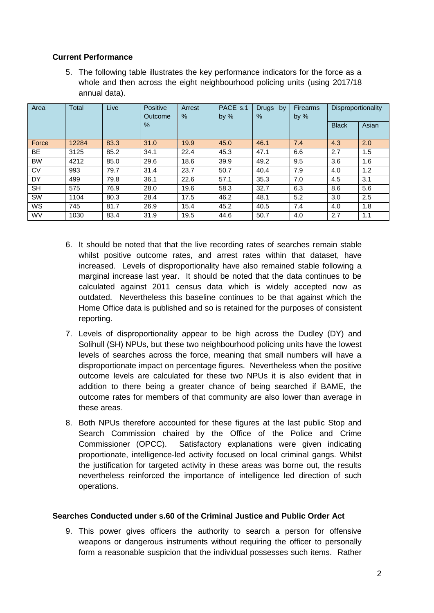# **Current Performance**

5. The following table illustrates the key performance indicators for the force as a whole and then across the eight neighbourhood policing units (using 2017/18 annual data).

| Area      | <b>Total</b> | Live | Positive<br>Outcome | Arrest<br>% | PACE s.1<br>by $%$ | <b>Drugs</b><br>by<br>% | <b>Firearms</b><br>by $%$ | Disproportionality |       |
|-----------|--------------|------|---------------------|-------------|--------------------|-------------------------|---------------------------|--------------------|-------|
|           |              |      | $\%$                |             |                    |                         |                           | <b>Black</b>       | Asian |
| Force     | 12284        | 83.3 | 31.0                | 19.9        | 45.0               | 46.1                    | 7.4                       | 4.3                | 2.0   |
| BE        | 3125         | 85.2 | 34.1                | 22.4        | 45.3               | 47.1                    | 6.6                       | 2.7                | 1.5   |
| <b>BW</b> | 4212         | 85.0 | 29.6                | 18.6        | 39.9               | 49.2                    | 9.5                       | 3.6                | 1.6   |
| <b>CV</b> | 993          | 79.7 | 31.4                | 23.7        | 50.7               | 40.4                    | 7.9                       | 4.0                | 1.2   |
| DY        | 499          | 79.8 | 36.1                | 22.6        | 57.1               | 35.3                    | 7.0                       | 4.5                | 3.1   |
| <b>SH</b> | 575          | 76.9 | 28.0                | 19.6        | 58.3               | 32.7                    | 6.3                       | 8.6                | 5.6   |
| <b>SW</b> | 1104         | 80.3 | 28.4                | 17.5        | 46.2               | 48.1                    | 5.2                       | 3.0                | 2.5   |
| WS        | 745          | 81.7 | 26.9                | 15.4        | 45.2               | 40.5                    | 7.4                       | 4.0                | 1.8   |
| <b>WV</b> | 1030         | 83.4 | 31.9                | 19.5        | 44.6               | 50.7                    | 4.0                       | 2.7                | 1.1   |

- 6. It should be noted that that the live recording rates of searches remain stable whilst positive outcome rates, and arrest rates within that dataset, have increased. Levels of disproportionality have also remained stable following a marginal increase last year. It should be noted that the data continues to be calculated against 2011 census data which is widely accepted now as outdated. Nevertheless this baseline continues to be that against which the Home Office data is published and so is retained for the purposes of consistent reporting.
- 7. Levels of disproportionality appear to be high across the Dudley (DY) and Solihull (SH) NPUs, but these two neighbourhood policing units have the lowest levels of searches across the force, meaning that small numbers will have a disproportionate impact on percentage figures. Nevertheless when the positive outcome levels are calculated for these two NPUs it is also evident that in addition to there being a greater chance of being searched if BAME, the outcome rates for members of that community are also lower than average in these areas.
- 8. Both NPUs therefore accounted for these figures at the last public Stop and Search Commission chaired by the Office of the Police and Crime Commissioner (OPCC). Satisfactory explanations were given indicating proportionate, intelligence-led activity focused on local criminal gangs. Whilst the justification for targeted activity in these areas was borne out, the results nevertheless reinforced the importance of intelligence led direction of such operations.

### **Searches Conducted under s.60 of the Criminal Justice and Public Order Act**

9. This power gives officers the authority to search a person for offensive weapons or dangerous instruments without requiring the officer to personally form a reasonable suspicion that the individual possesses such items. Rather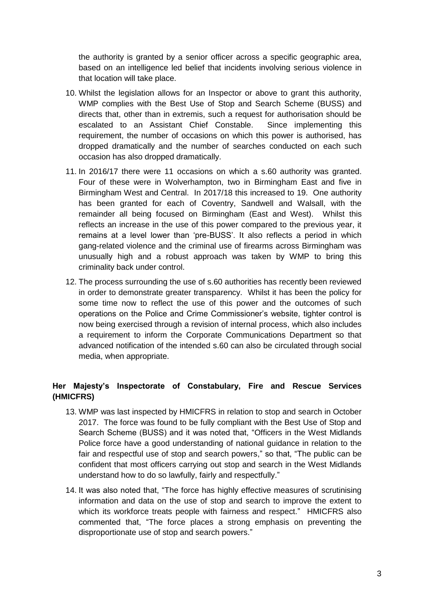the authority is granted by a senior officer across a specific geographic area, based on an intelligence led belief that incidents involving serious violence in that location will take place.

- 10. Whilst the legislation allows for an Inspector or above to grant this authority, WMP complies with the Best Use of Stop and Search Scheme (BUSS) and directs that, other than in extremis, such a request for authorisation should be escalated to an Assistant Chief Constable. Since implementing this requirement, the number of occasions on which this power is authorised, has dropped dramatically and the number of searches conducted on each such occasion has also dropped dramatically.
- 11. In 2016/17 there were 11 occasions on which a s.60 authority was granted. Four of these were in Wolverhampton, two in Birmingham East and five in Birmingham West and Central. In 2017/18 this increased to 19. One authority has been granted for each of Coventry, Sandwell and Walsall, with the remainder all being focused on Birmingham (East and West). Whilst this reflects an increase in the use of this power compared to the previous year, it remains at a level lower than 'pre-BUSS'. It also reflects a period in which gang-related violence and the criminal use of firearms across Birmingham was unusually high and a robust approach was taken by WMP to bring this criminality back under control.
- 12. The process surrounding the use of s.60 authorities has recently been reviewed in order to demonstrate greater transparency. Whilst it has been the policy for some time now to reflect the use of this power and the outcomes of such operations on the Police and Crime Commissioner's website, tighter control is now being exercised through a revision of internal process, which also includes a requirement to inform the Corporate Communications Department so that advanced notification of the intended s.60 can also be circulated through social media, when appropriate.

# **Her Majesty's Inspectorate of Constabulary, Fire and Rescue Services (HMICFRS)**

- 13. WMP was last inspected by HMICFRS in relation to stop and search in October 2017. The force was found to be fully compliant with the Best Use of Stop and Search Scheme (BUSS) and it was noted that, "Officers in the West Midlands Police force have a good understanding of national guidance in relation to the fair and respectful use of stop and search powers," so that, "The public can be confident that most officers carrying out stop and search in the West Midlands understand how to do so lawfully, fairly and respectfully."
- 14. It was also noted that, "The force has highly effective measures of scrutinising information and data on the use of stop and search to improve the extent to which its workforce treats people with fairness and respect." HMICFRS also commented that, "The force places a strong emphasis on preventing the disproportionate use of stop and search powers."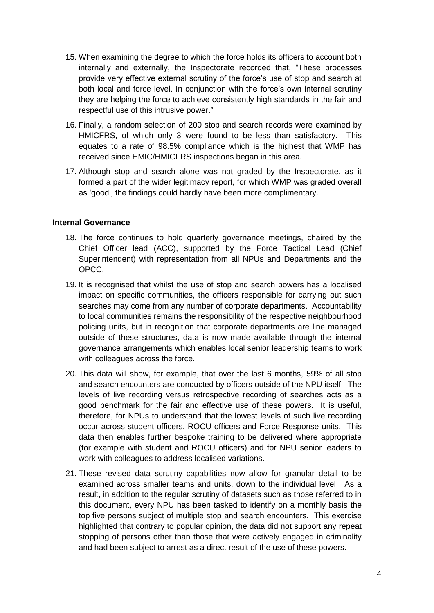- 15. When examining the degree to which the force holds its officers to account both internally and externally, the Inspectorate recorded that, "These processes provide very effective external scrutiny of the force's use of stop and search at both local and force level. In conjunction with the force's own internal scrutiny they are helping the force to achieve consistently high standards in the fair and respectful use of this intrusive power."
- 16. Finally, a random selection of 200 stop and search records were examined by HMICFRS, of which only 3 were found to be less than satisfactory. This equates to a rate of 98.5% compliance which is the highest that WMP has received since HMIC/HMICFRS inspections began in this area.
- 17. Although stop and search alone was not graded by the Inspectorate, as it formed a part of the wider legitimacy report, for which WMP was graded overall as 'good', the findings could hardly have been more complimentary.

#### **Internal Governance**

- 18. The force continues to hold quarterly governance meetings, chaired by the Chief Officer lead (ACC), supported by the Force Tactical Lead (Chief Superintendent) with representation from all NPUs and Departments and the OPCC.
- 19. It is recognised that whilst the use of stop and search powers has a localised impact on specific communities, the officers responsible for carrying out such searches may come from any number of corporate departments. Accountability to local communities remains the responsibility of the respective neighbourhood policing units, but in recognition that corporate departments are line managed outside of these structures, data is now made available through the internal governance arrangements which enables local senior leadership teams to work with colleagues across the force.
- 20. This data will show, for example, that over the last 6 months, 59% of all stop and search encounters are conducted by officers outside of the NPU itself. The levels of live recording versus retrospective recording of searches acts as a good benchmark for the fair and effective use of these powers. It is useful, therefore, for NPUs to understand that the lowest levels of such live recording occur across student officers, ROCU officers and Force Response units. This data then enables further bespoke training to be delivered where appropriate (for example with student and ROCU officers) and for NPU senior leaders to work with colleagues to address localised variations.
- 21. These revised data scrutiny capabilities now allow for granular detail to be examined across smaller teams and units, down to the individual level. As a result, in addition to the regular scrutiny of datasets such as those referred to in this document, every NPU has been tasked to identify on a monthly basis the top five persons subject of multiple stop and search encounters. This exercise highlighted that contrary to popular opinion, the data did not support any repeat stopping of persons other than those that were actively engaged in criminality and had been subject to arrest as a direct result of the use of these powers.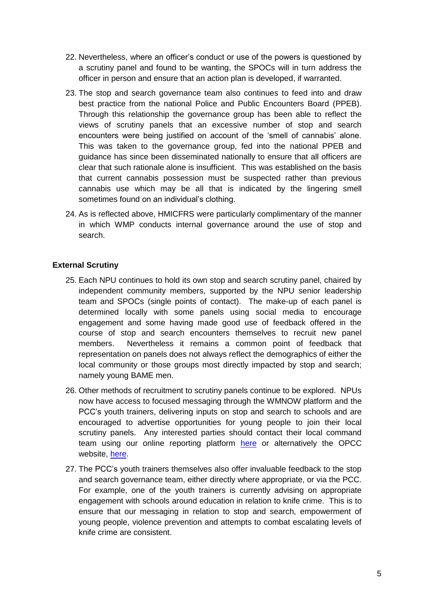- 22. Nevertheless, where an officer's conduct or use of the powers is questioned by a scrutiny panel and found to be wanting, the SPOCs will in turn address the officer in person and ensure that an action plan is developed, if warranted.
- 23. The stop and search governance team also continues to feed into and draw best practice from the national Police and Public Encounters Board (PPEB). Through this relationship the governance group has been able to reflect the views of scrutiny panels that an excessive number of stop and search encounters were being justified on account of the 'smell of cannabis' alone. This was taken to the governance group, fed into the national PPEB and guidance has since been disseminated nationally to ensure that all officers are clear that such rationale alone is insufficient. This was established on the basis that current cannabis possession must be suspected rather than previous cannabis use which may be all that is indicated by the lingering smell sometimes found on an individual's clothing.
- 24. As is reflected above, HMICFRS were particularly complimentary of the manner in which WMP conducts internal governance around the use of stop and search.

# **External Scrutiny**

- 25. Each NPU continues to hold its own stop and search scrutiny panel, chaired by independent community members, supported by the NPU senior leadership team and SPOCs (single points of contact). The make-up of each panel is determined locally with some panels using social media to encourage engagement and some having made good use of feedback offered in the course of stop and search encounters themselves to recruit new panel members. Nevertheless it remains a common point of feedback that representation on panels does not always reflect the demographics of either the local community or those groups most directly impacted by stop and search; namely young BAME men.
- 26. Other methods of recruitment to scrutiny panels continue to be explored. NPUs now have access to focused messaging through the WMNOW platform and the PCC's youth trainers, delivering inputs on stop and search to schools and are encouraged to advertise opportunities for young people to join their local scrutiny panels. Any interested parties should contact their local command team using our online reporting platform [here](https://www.west-midlands.police.uk/contact-us) or alternatively the OPCC website, [here.](http://www.westmidlands-pcc.gov.uk/contact)
- 27. The PCC's youth trainers themselves also offer invaluable feedback to the stop and search governance team, either directly where appropriate, or via the PCC. For example, one of the youth trainers is currently advising on appropriate engagement with schools around education in relation to knife crime. This is to ensure that our messaging in relation to stop and search, empowerment of young people, violence prevention and attempts to combat escalating levels of knife crime are consistent.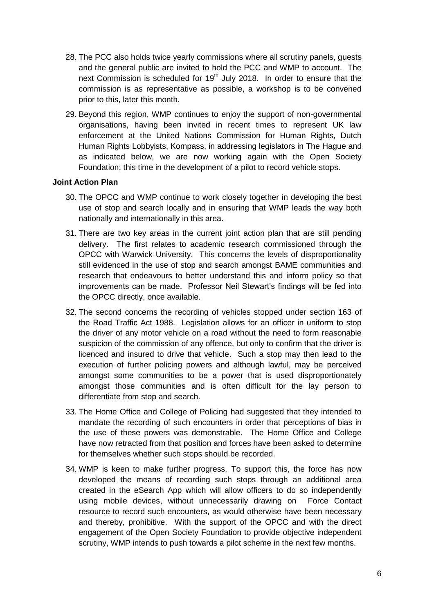- 28. The PCC also holds twice yearly commissions where all scrutiny panels, guests and the general public are invited to hold the PCC and WMP to account. The next Commission is scheduled for  $19<sup>th</sup>$  July 2018. In order to ensure that the commission is as representative as possible, a workshop is to be convened prior to this, later this month.
- 29. Beyond this region, WMP continues to enjoy the support of non-governmental organisations, having been invited in recent times to represent UK law enforcement at the United Nations Commission for Human Rights, Dutch Human Rights Lobbyists, Kompass, in addressing legislators in The Hague and as indicated below, we are now working again with the Open Society Foundation; this time in the development of a pilot to record vehicle stops.

### **Joint Action Plan**

- 30. The OPCC and WMP continue to work closely together in developing the best use of stop and search locally and in ensuring that WMP leads the way both nationally and internationally in this area.
- 31. There are two key areas in the current joint action plan that are still pending delivery. The first relates to academic research commissioned through the OPCC with Warwick University. This concerns the levels of disproportionality still evidenced in the use of stop and search amongst BAME communities and research that endeavours to better understand this and inform policy so that improvements can be made. Professor Neil Stewart's findings will be fed into the OPCC directly, once available.
- 32. The second concerns the recording of vehicles stopped under section 163 of the Road Traffic Act 1988. Legislation allows for an officer in uniform to stop the driver of any motor vehicle on a road without the need to form reasonable suspicion of the commission of any offence, but only to confirm that the driver is licenced and insured to drive that vehicle. Such a stop may then lead to the execution of further policing powers and although lawful, may be perceived amongst some communities to be a power that is used disproportionately amongst those communities and is often difficult for the lay person to differentiate from stop and search.
- 33. The Home Office and College of Policing had suggested that they intended to mandate the recording of such encounters in order that perceptions of bias in the use of these powers was demonstrable. The Home Office and College have now retracted from that position and forces have been asked to determine for themselves whether such stops should be recorded.
- 34. WMP is keen to make further progress. To support this, the force has now developed the means of recording such stops through an additional area created in the eSearch App which will allow officers to do so independently using mobile devices, without unnecessarily drawing on Force Contact resource to record such encounters, as would otherwise have been necessary and thereby, prohibitive. With the support of the OPCC and with the direct engagement of the Open Society Foundation to provide objective independent scrutiny, WMP intends to push towards a pilot scheme in the next few months.